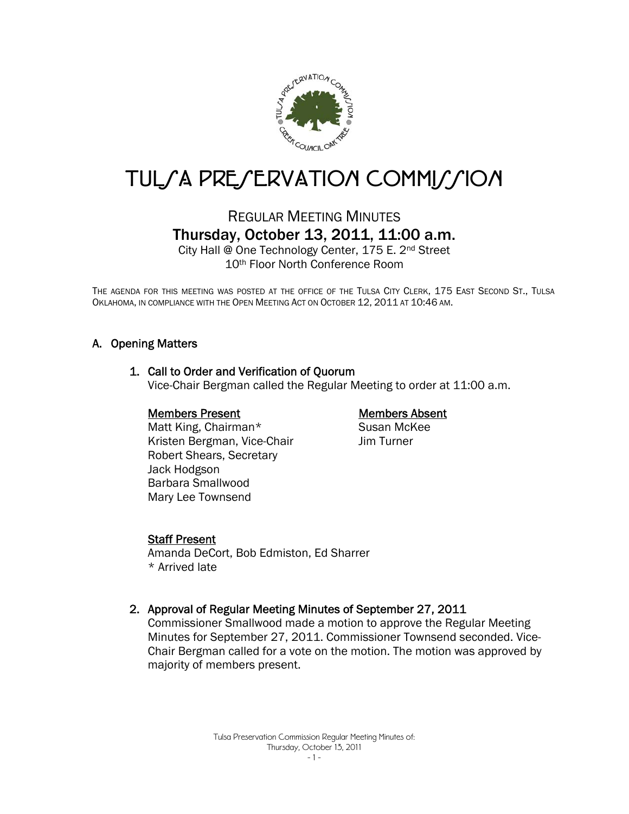

# TUL/A PRE/ERVATION COMMI//ION

## REGULAR MEETING MINUTES Thursday, October 13, 2011, 11:00 a.m.

City Hall @ One Technology Center, 175 E. 2nd Street 10th Floor North Conference Room

THE AGENDA FOR THIS MEETING WAS POSTED AT THE OFFICE OF THE TULSA CITY CLERK, 175 EAST SECOND ST., TULSA OKLAHOMA, IN COMPLIANCE WITH THE OPEN MEETING ACT ON OCTOBER 12, 2011 AT 10:46 AM.

### A. Opening Matters

### 1. Call to Order and Verification of Quorum

Vice-Chair Bergman called the Regular Meeting to order at 11:00 a.m.

### Members Present

### Members Absent

 Matt King, Chairman\* Kristen Bergman, Vice-Chair Robert Shears, Secretary Jack Hodgson Barbara Smallwood Mary Lee Townsend

Susan McKee Jim Turner

### Staff Present

Amanda DeCort, Bob Edmiston, Ed Sharrer \* Arrived late

### 2. Approval of Regular Meeting Minutes of September 27, 2011

Commissioner Smallwood made a motion to approve the Regular Meeting Minutes for September 27, 2011. Commissioner Townsend seconded. Vice-Chair Bergman called for a vote on the motion. The motion was approved by majority of members present.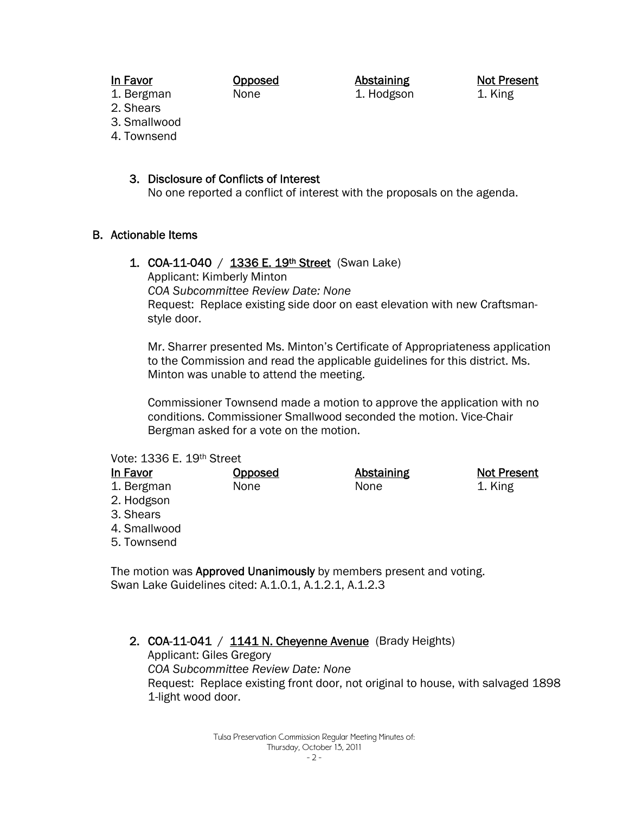### In Favor

Opposed None

Abstaining 1. Hodgson Not Present 1. King

- 1. Bergman 2. Shears
- 3. Smallwood
- 4. Townsend

### 3. Disclosure of Conflicts of Interest

No one reported a conflict of interest with the proposals on the agenda.

### B. Actionable Items

1. COA-11-040 / 1336 E. 19<sup>th</sup> Street (Swan Lake)

Applicant: Kimberly Minton *COA Subcommittee Review Date: None*  Request: Replace existing side door on east elevation with new Craftsmanstyle door.

Mr. Sharrer presented Ms. Minton's Certificate of Appropriateness application to the Commission and read the applicable guidelines for this district. Ms. Minton was unable to attend the meeting.

Commissioner Townsend made a motion to approve the application with no conditions. Commissioner Smallwood seconded the motion. Vice-Chair Bergman asked for a vote on the motion.

### Vote: 1336 E. 19th Street

| In Favor     | Opposed | Abstaining | <b>Not Present</b> |
|--------------|---------|------------|--------------------|
| 1. Bergman   | None    | None       | 1. King            |
| 2. Hodgson   |         |            |                    |
| 3. Shears    |         |            |                    |
| 4. Smallwood |         |            |                    |
| 5. Townsend  |         |            |                    |

The motion was Approved Unanimously by members present and voting. Swan Lake Guidelines cited: A.1.0.1, A.1.2.1, A.1.2.3

2. COA-11-041 /  $1141$  N. Chevenne Avenue (Brady Heights) Applicant: Giles Gregory *COA Subcommittee Review Date: None*  Request: Replace existing front door, not original to house, with salvaged 1898 1-light wood door.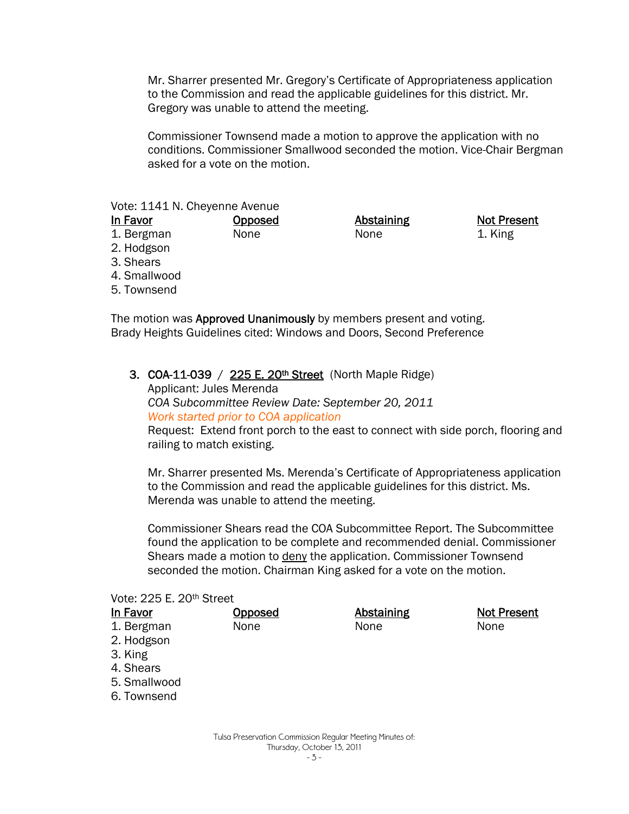Mr. Sharrer presented Mr. Gregory's Certificate of Appropriateness application to the Commission and read the applicable guidelines for this district. Mr. Gregory was unable to attend the meeting.

Commissioner Townsend made a motion to approve the application with no conditions. Commissioner Smallwood seconded the motion. Vice-Chair Bergman asked for a vote on the motion.

### Vote: 1141 N. Cheyenne Avenue

| in Favor |
|----------|
|----------|

1. Bergman

**Abstaining** None

Not Present 1. King

- 2. Hodgson 3. Shears
- 4. Smallwood
- 5. Townsend

The motion was **Approved Unanimously** by members present and voting. Brady Heights Guidelines cited: Windows and Doors, Second Preference

3. COA-11-039 /  $225 E. 20<sup>th</sup> Street$  (North Maple Ridge)

**Opposed** None

Applicant: Jules Merenda *COA Subcommittee Review Date: September 20, 2011 Work started prior to COA application*

Request: Extend front porch to the east to connect with side porch, flooring and railing to match existing.

Mr. Sharrer presented Ms. Merenda's Certificate of Appropriateness application to the Commission and read the applicable guidelines for this district. Ms. Merenda was unable to attend the meeting.

Commissioner Shears read the COA Subcommittee Report. The Subcommittee found the application to be complete and recommended denial. Commissioner Shears made a motion to deny the application. Commissioner Townsend seconded the motion. Chairman King asked for a vote on the motion.

### Vote: 225 E. 20th Street

#### In Favor 1. Bergman 2. Hodgson 3. King 4. Shears 5. Smallwood 6. Townsend Opposed None Abstaining None Not Present None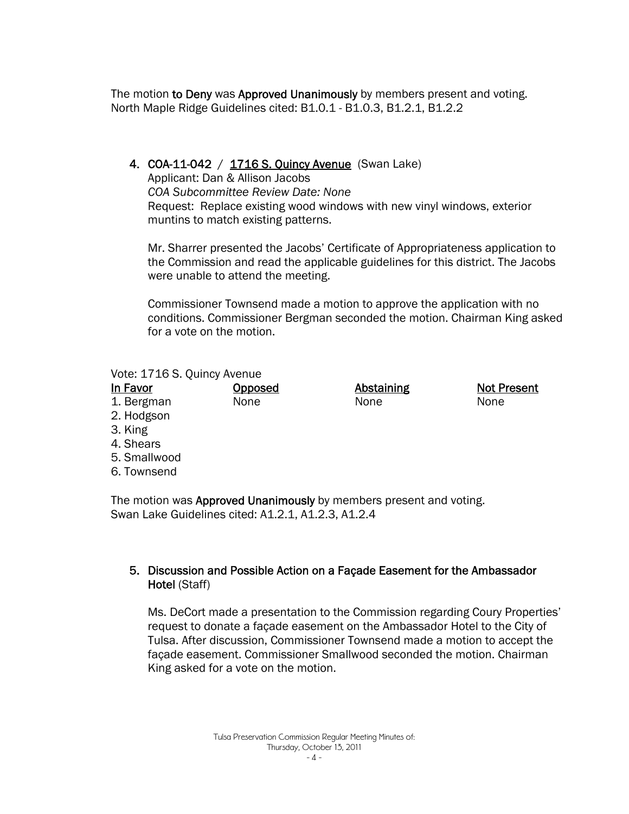The motion to Deny was Approved Unanimously by members present and voting. North Maple Ridge Guidelines cited: B1.0.1 - B1.0.3, B1.2.1, B1.2.2

### 4. COA-11-042 / 1716 S. Quincy Avenue (Swan Lake)

Applicant: Dan & Allison Jacobs *COA Subcommittee Review Date: None*  Request: Replace existing wood windows with new vinyl windows, exterior muntins to match existing patterns.

Mr. Sharrer presented the Jacobs' Certificate of Appropriateness application to the Commission and read the applicable guidelines for this district. The Jacobs were unable to attend the meeting.

Commissioner Townsend made a motion to approve the application with no conditions. Commissioner Bergman seconded the motion. Chairman King asked for a vote on the motion.

### Vote: 1716 S. Quincy Avenue

| In Favor     | <b>Opposed</b> | Abstaining | <b>Not Present</b> |
|--------------|----------------|------------|--------------------|
| 1. Bergman   | None           | None       | None               |
| 2. Hodgson   |                |            |                    |
| 3. King      |                |            |                    |
| 4. Shears    |                |            |                    |
| 5. Smallwood |                |            |                    |

6. Townsend

The motion was Approved Unanimously by members present and voting. Swan Lake Guidelines cited: A1.2.1, A1.2.3, A1.2.4

### 5. Discussion and Possible Action on a Façade Easement for the Ambassador Hotel (Staff)

Ms. DeCort made a presentation to the Commission regarding Coury Properties' request to donate a façade easement on the Ambassador Hotel to the City of Tulsa. After discussion, Commissioner Townsend made a motion to accept the façade easement. Commissioner Smallwood seconded the motion. Chairman King asked for a vote on the motion.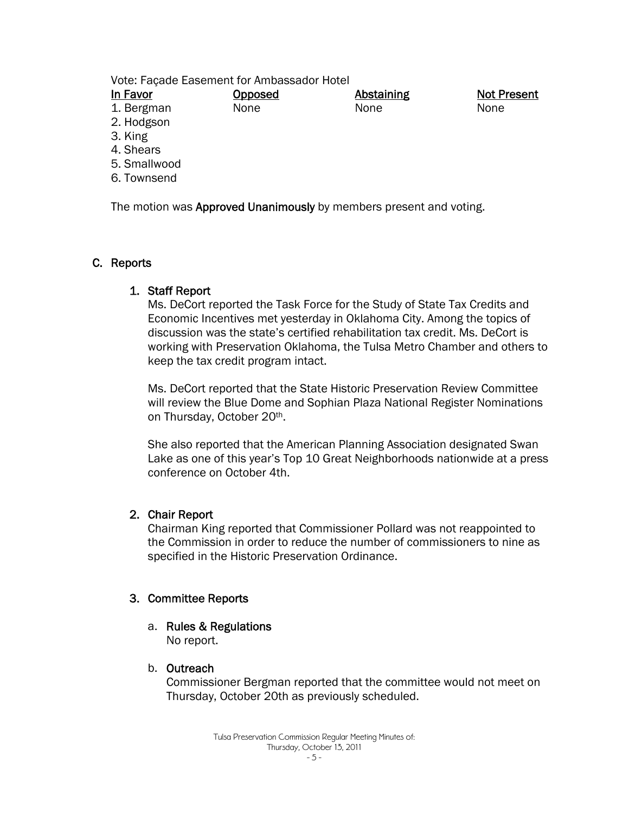Vote: Façade Easement for Ambassador Hotel

| In Favor   | Opposed     | Abstaining | <b>Not Present</b> |
|------------|-------------|------------|--------------------|
| 1. Bergman | <b>None</b> | None       | None               |
| 2. Hodgson |             |            |                    |

- 3. King
- 4. Shears
- 5. Smallwood
- 6. Townsend

The motion was Approved Unanimously by members present and voting.

### C. Reports

### 1. Staff Report

Ms. DeCort reported the Task Force for the Study of State Tax Credits and Economic Incentives met yesterday in Oklahoma City. Among the topics of discussion was the state's certified rehabilitation tax credit. Ms. DeCort is working with Preservation Oklahoma, the Tulsa Metro Chamber and others to keep the tax credit program intact.

Ms. DeCort reported that the State Historic Preservation Review Committee will review the Blue Dome and Sophian Plaza National Register Nominations on Thursday, October 20th.

She also reported that the American Planning Association designated Swan Lake as one of this year's Top 10 Great Neighborhoods nationwide at a press conference on October 4th.

### 2. Chair Report

Chairman King reported that Commissioner Pollard was not reappointed to the Commission in order to reduce the number of commissioners to nine as specified in the Historic Preservation Ordinance.

### 3. Committee Reports

a. Rules & Regulations

No report.

### b. Outreach

Commissioner Bergman reported that the committee would not meet on Thursday, October 20th as previously scheduled.